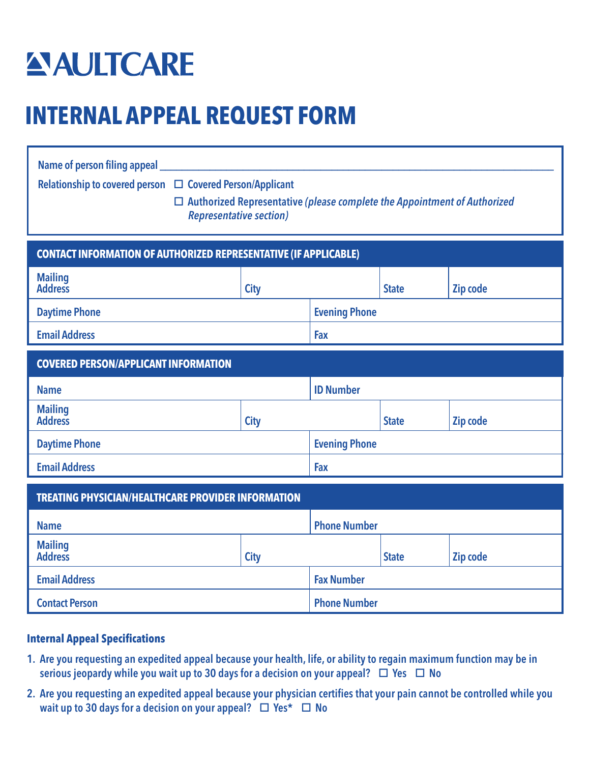## **AULTCARE**

## **INTERNAL APPEAL REQUEST FORM**

| Name of person filing appeal<br>Relationship to covered person $\Box$ Covered Person/Applicant<br>$\Box$ Authorized Representative (please complete the Appointment of Authorized<br><b>Representative section)</b><br><b>CONTACT INFORMATION OF AUTHORIZED REPRESENTATIVE (IF APPLICABLE)</b> |  |  |
|------------------------------------------------------------------------------------------------------------------------------------------------------------------------------------------------------------------------------------------------------------------------------------------------|--|--|
|                                                                                                                                                                                                                                                                                                |  |  |
|                                                                                                                                                                                                                                                                                                |  |  |
|                                                                                                                                                                                                                                                                                                |  |  |
|                                                                                                                                                                                                                                                                                                |  |  |
| <b>COVERED PERSON/APPLICANT INFORMATION</b>                                                                                                                                                                                                                                                    |  |  |
|                                                                                                                                                                                                                                                                                                |  |  |
|                                                                                                                                                                                                                                                                                                |  |  |
|                                                                                                                                                                                                                                                                                                |  |  |
|                                                                                                                                                                                                                                                                                                |  |  |
| <b>TREATING PHYSICIAN/HEALTHCARE PROVIDER INFORMATION</b>                                                                                                                                                                                                                                      |  |  |
|                                                                                                                                                                                                                                                                                                |  |  |
|                                                                                                                                                                                                                                                                                                |  |  |
|                                                                                                                                                                                                                                                                                                |  |  |
|                                                                                                                                                                                                                                                                                                |  |  |
|                                                                                                                                                                                                                                                                                                |  |  |

## **Internal Appeal Specifications**

- 1. Are you requesting an expedited appeal because your health, life, or ability to regain maximum function may be in serious jeopardy while you wait up to 30 days for a decision on your appeal?  $\Box$  Yes  $\Box$  No
- 2. Are you requesting an expedited appeal because your physician certifies that your pain cannot be controlled while you wait up to 30 days for a decision on your appeal?  $\Box$  Yes\*  $\Box$  No